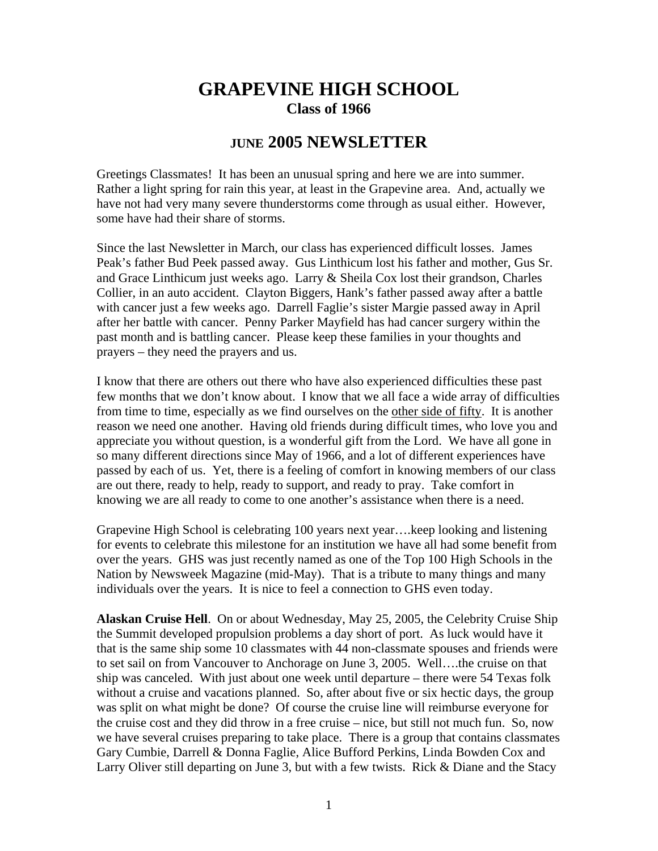## **GRAPEVINE HIGH SCHOOL Class of 1966**

## **JUNE 2005 NEWSLETTER**

Greetings Classmates! It has been an unusual spring and here we are into summer. Rather a light spring for rain this year, at least in the Grapevine area. And, actually we have not had very many severe thunderstorms come through as usual either. However, some have had their share of storms.

Since the last Newsletter in March, our class has experienced difficult losses. James Peak's father Bud Peek passed away. Gus Linthicum lost his father and mother, Gus Sr. and Grace Linthicum just weeks ago. Larry & Sheila Cox lost their grandson, Charles Collier, in an auto accident. Clayton Biggers, Hank's father passed away after a battle with cancer just a few weeks ago. Darrell Faglie's sister Margie passed away in April after her battle with cancer. Penny Parker Mayfield has had cancer surgery within the past month and is battling cancer. Please keep these families in your thoughts and prayers – they need the prayers and us.

I know that there are others out there who have also experienced difficulties these past few months that we don't know about. I know that we all face a wide array of difficulties from time to time, especially as we find ourselves on the other side of fifty. It is another reason we need one another. Having old friends during difficult times, who love you and appreciate you without question, is a wonderful gift from the Lord. We have all gone in so many different directions since May of 1966, and a lot of different experiences have passed by each of us. Yet, there is a feeling of comfort in knowing members of our class are out there, ready to help, ready to support, and ready to pray. Take comfort in knowing we are all ready to come to one another's assistance when there is a need.

Grapevine High School is celebrating 100 years next year….keep looking and listening for events to celebrate this milestone for an institution we have all had some benefit from over the years. GHS was just recently named as one of the Top 100 High Schools in the Nation by Newsweek Magazine (mid-May). That is a tribute to many things and many individuals over the years. It is nice to feel a connection to GHS even today.

**Alaskan Cruise Hell**. On or about Wednesday, May 25, 2005, the Celebrity Cruise Ship the Summit developed propulsion problems a day short of port. As luck would have it that is the same ship some 10 classmates with 44 non-classmate spouses and friends were to set sail on from Vancouver to Anchorage on June 3, 2005. Well….the cruise on that ship was canceled. With just about one week until departure – there were 54 Texas folk without a cruise and vacations planned. So, after about five or six hectic days, the group was split on what might be done? Of course the cruise line will reimburse everyone for the cruise cost and they did throw in a free cruise – nice, but still not much fun. So, now we have several cruises preparing to take place. There is a group that contains classmates Gary Cumbie, Darrell & Donna Faglie, Alice Bufford Perkins, Linda Bowden Cox and Larry Oliver still departing on June 3, but with a few twists. Rick & Diane and the Stacy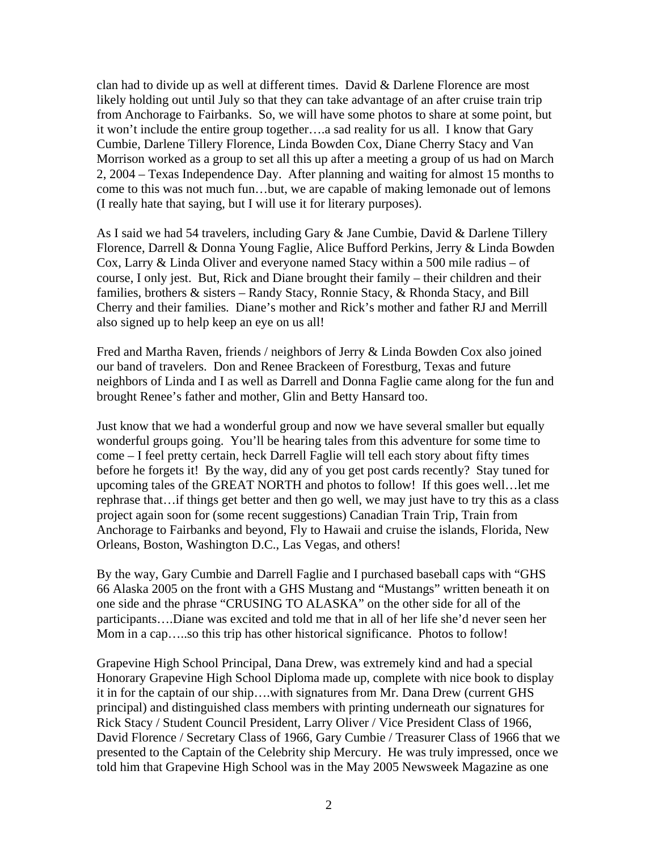clan had to divide up as well at different times. David  $&$  Darlene Florence are most likely holding out until July so that they can take advantage of an after cruise train trip from Anchorage to Fairbanks. So, we will have some photos to share at some point, but it won't include the entire group together….a sad reality for us all. I know that Gary Cumbie, Darlene Tillery Florence, Linda Bowden Cox, Diane Cherry Stacy and Van Morrison worked as a group to set all this up after a meeting a group of us had on March 2, 2004 – Texas Independence Day. After planning and waiting for almost 15 months to come to this was not much fun…but, we are capable of making lemonade out of lemons (I really hate that saying, but I will use it for literary purposes).

As I said we had 54 travelers, including Gary & Jane Cumbie, David & Darlene Tillery Florence, Darrell & Donna Young Faglie, Alice Bufford Perkins, Jerry & Linda Bowden Cox, Larry  $\&$  Linda Oliver and everyone named Stacy within a 500 mile radius – of course, I only jest. But, Rick and Diane brought their family – their children and their families, brothers & sisters – Randy Stacy, Ronnie Stacy, & Rhonda Stacy, and Bill Cherry and their families. Diane's mother and Rick's mother and father RJ and Merrill also signed up to help keep an eye on us all!

Fred and Martha Raven, friends / neighbors of Jerry & Linda Bowden Cox also joined our band of travelers. Don and Renee Brackeen of Forestburg, Texas and future neighbors of Linda and I as well as Darrell and Donna Faglie came along for the fun and brought Renee's father and mother, Glin and Betty Hansard too.

Just know that we had a wonderful group and now we have several smaller but equally wonderful groups going. You'll be hearing tales from this adventure for some time to come – I feel pretty certain, heck Darrell Faglie will tell each story about fifty times before he forgets it! By the way, did any of you get post cards recently? Stay tuned for upcoming tales of the GREAT NORTH and photos to follow! If this goes well…let me rephrase that…if things get better and then go well, we may just have to try this as a class project again soon for (some recent suggestions) Canadian Train Trip, Train from Anchorage to Fairbanks and beyond, Fly to Hawaii and cruise the islands, Florida, New Orleans, Boston, Washington D.C., Las Vegas, and others!

By the way, Gary Cumbie and Darrell Faglie and I purchased baseball caps with "GHS 66 Alaska 2005 on the front with a GHS Mustang and "Mustangs" written beneath it on one side and the phrase "CRUSING TO ALASKA" on the other side for all of the participants….Diane was excited and told me that in all of her life she'd never seen her Mom in a cap…..so this trip has other historical significance. Photos to follow!

Grapevine High School Principal, Dana Drew, was extremely kind and had a special Honorary Grapevine High School Diploma made up, complete with nice book to display it in for the captain of our ship….with signatures from Mr. Dana Drew (current GHS principal) and distinguished class members with printing underneath our signatures for Rick Stacy / Student Council President, Larry Oliver / Vice President Class of 1966, David Florence / Secretary Class of 1966, Gary Cumbie / Treasurer Class of 1966 that we presented to the Captain of the Celebrity ship Mercury. He was truly impressed, once we told him that Grapevine High School was in the May 2005 Newsweek Magazine as one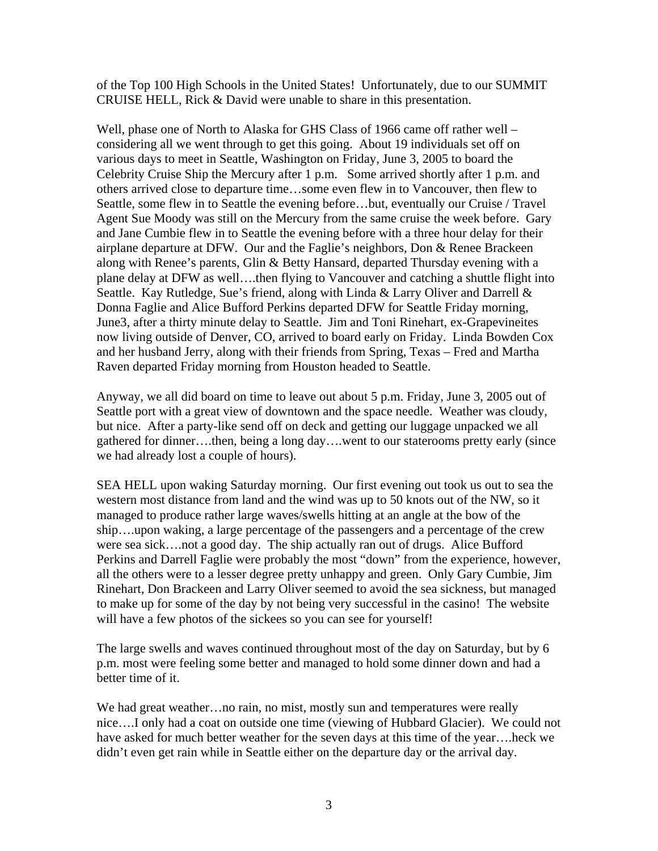of the Top 100 High Schools in the United States! Unfortunately, due to our SUMMIT CRUISE HELL, Rick & David were unable to share in this presentation.

Well, phase one of North to Alaska for GHS Class of 1966 came off rather well – considering all we went through to get this going. About 19 individuals set off on various days to meet in Seattle, Washington on Friday, June 3, 2005 to board the Celebrity Cruise Ship the Mercury after 1 p.m. Some arrived shortly after 1 p.m. and others arrived close to departure time…some even flew in to Vancouver, then flew to Seattle, some flew in to Seattle the evening before…but, eventually our Cruise / Travel Agent Sue Moody was still on the Mercury from the same cruise the week before. Gary and Jane Cumbie flew in to Seattle the evening before with a three hour delay for their airplane departure at DFW. Our and the Faglie's neighbors, Don & Renee Brackeen along with Renee's parents, Glin & Betty Hansard, departed Thursday evening with a plane delay at DFW as well….then flying to Vancouver and catching a shuttle flight into Seattle. Kay Rutledge, Sue's friend, along with Linda & Larry Oliver and Darrell & Donna Faglie and Alice Bufford Perkins departed DFW for Seattle Friday morning, June3, after a thirty minute delay to Seattle. Jim and Toni Rinehart, ex-Grapevineites now living outside of Denver, CO, arrived to board early on Friday. Linda Bowden Cox and her husband Jerry, along with their friends from Spring, Texas – Fred and Martha Raven departed Friday morning from Houston headed to Seattle.

Anyway, we all did board on time to leave out about 5 p.m. Friday, June 3, 2005 out of Seattle port with a great view of downtown and the space needle. Weather was cloudy, but nice. After a party-like send off on deck and getting our luggage unpacked we all gathered for dinner….then, being a long day….went to our staterooms pretty early (since we had already lost a couple of hours).

SEA HELL upon waking Saturday morning. Our first evening out took us out to sea the western most distance from land and the wind was up to 50 knots out of the NW, so it managed to produce rather large waves/swells hitting at an angle at the bow of the ship….upon waking, a large percentage of the passengers and a percentage of the crew were sea sick….not a good day. The ship actually ran out of drugs. Alice Bufford Perkins and Darrell Faglie were probably the most "down" from the experience, however, all the others were to a lesser degree pretty unhappy and green. Only Gary Cumbie, Jim Rinehart, Don Brackeen and Larry Oliver seemed to avoid the sea sickness, but managed to make up for some of the day by not being very successful in the casino! The website will have a few photos of the sickees so you can see for yourself!

The large swells and waves continued throughout most of the day on Saturday, but by 6 p.m. most were feeling some better and managed to hold some dinner down and had a better time of it.

We had great weather…no rain, no mist, mostly sun and temperatures were really nice….I only had a coat on outside one time (viewing of Hubbard Glacier). We could not have asked for much better weather for the seven days at this time of the year….heck we didn't even get rain while in Seattle either on the departure day or the arrival day.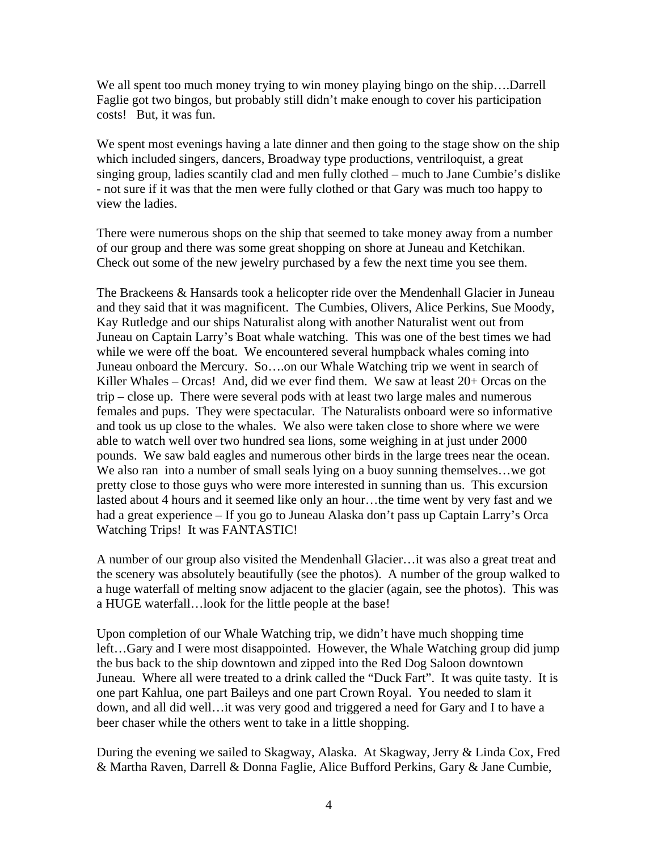We all spent too much money trying to win money playing bingo on the ship....Darrell Faglie got two bingos, but probably still didn't make enough to cover his participation costs! But, it was fun.

We spent most evenings having a late dinner and then going to the stage show on the ship which included singers, dancers, Broadway type productions, ventriloquist, a great singing group, ladies scantily clad and men fully clothed – much to Jane Cumbie's dislike - not sure if it was that the men were fully clothed or that Gary was much too happy to view the ladies.

There were numerous shops on the ship that seemed to take money away from a number of our group and there was some great shopping on shore at Juneau and Ketchikan. Check out some of the new jewelry purchased by a few the next time you see them.

The Brackeens & Hansards took a helicopter ride over the Mendenhall Glacier in Juneau and they said that it was magnificent. The Cumbies, Olivers, Alice Perkins, Sue Moody, Kay Rutledge and our ships Naturalist along with another Naturalist went out from Juneau on Captain Larry's Boat whale watching. This was one of the best times we had while we were off the boat. We encountered several humpback whales coming into Juneau onboard the Mercury. So….on our Whale Watching trip we went in search of Killer Whales – Orcas! And, did we ever find them. We saw at least 20+ Orcas on the trip – close up. There were several pods with at least two large males and numerous females and pups. They were spectacular. The Naturalists onboard were so informative and took us up close to the whales. We also were taken close to shore where we were able to watch well over two hundred sea lions, some weighing in at just under 2000 pounds. We saw bald eagles and numerous other birds in the large trees near the ocean. We also ran into a number of small seals lying on a buoy sunning themselves...we got pretty close to those guys who were more interested in sunning than us. This excursion lasted about 4 hours and it seemed like only an hour…the time went by very fast and we had a great experience – If you go to Juneau Alaska don't pass up Captain Larry's Orca Watching Trips! It was FANTASTIC!

A number of our group also visited the Mendenhall Glacier…it was also a great treat and the scenery was absolutely beautifully (see the photos). A number of the group walked to a huge waterfall of melting snow adjacent to the glacier (again, see the photos). This was a HUGE waterfall…look for the little people at the base!

Upon completion of our Whale Watching trip, we didn't have much shopping time left…Gary and I were most disappointed. However, the Whale Watching group did jump the bus back to the ship downtown and zipped into the Red Dog Saloon downtown Juneau. Where all were treated to a drink called the "Duck Fart". It was quite tasty. It is one part Kahlua, one part Baileys and one part Crown Royal. You needed to slam it down, and all did well…it was very good and triggered a need for Gary and I to have a beer chaser while the others went to take in a little shopping.

During the evening we sailed to Skagway, Alaska. At Skagway, Jerry & Linda Cox, Fred & Martha Raven, Darrell & Donna Faglie, Alice Bufford Perkins, Gary & Jane Cumbie,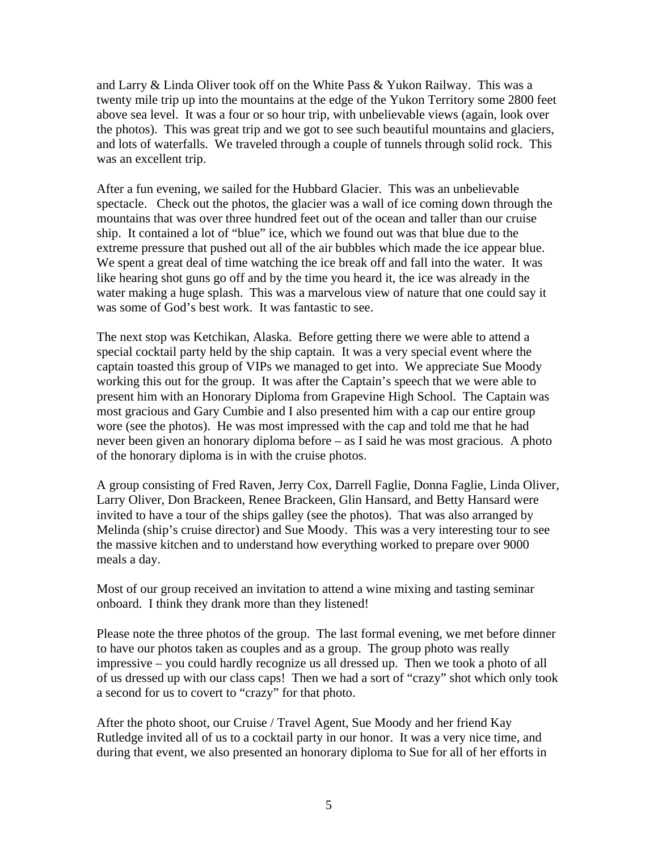and Larry & Linda Oliver took off on the White Pass & Yukon Railway. This was a twenty mile trip up into the mountains at the edge of the Yukon Territory some 2800 feet above sea level. It was a four or so hour trip, with unbelievable views (again, look over the photos). This was great trip and we got to see such beautiful mountains and glaciers, and lots of waterfalls. We traveled through a couple of tunnels through solid rock. This was an excellent trip.

After a fun evening, we sailed for the Hubbard Glacier. This was an unbelievable spectacle. Check out the photos, the glacier was a wall of ice coming down through the mountains that was over three hundred feet out of the ocean and taller than our cruise ship. It contained a lot of "blue" ice, which we found out was that blue due to the extreme pressure that pushed out all of the air bubbles which made the ice appear blue. We spent a great deal of time watching the ice break off and fall into the water. It was like hearing shot guns go off and by the time you heard it, the ice was already in the water making a huge splash. This was a marvelous view of nature that one could say it was some of God's best work. It was fantastic to see.

The next stop was Ketchikan, Alaska. Before getting there we were able to attend a special cocktail party held by the ship captain. It was a very special event where the captain toasted this group of VIPs we managed to get into. We appreciate Sue Moody working this out for the group. It was after the Captain's speech that we were able to present him with an Honorary Diploma from Grapevine High School. The Captain was most gracious and Gary Cumbie and I also presented him with a cap our entire group wore (see the photos). He was most impressed with the cap and told me that he had never been given an honorary diploma before – as I said he was most gracious. A photo of the honorary diploma is in with the cruise photos.

A group consisting of Fred Raven, Jerry Cox, Darrell Faglie, Donna Faglie, Linda Oliver, Larry Oliver, Don Brackeen, Renee Brackeen, Glin Hansard, and Betty Hansard were invited to have a tour of the ships galley (see the photos). That was also arranged by Melinda (ship's cruise director) and Sue Moody. This was a very interesting tour to see the massive kitchen and to understand how everything worked to prepare over 9000 meals a day.

Most of our group received an invitation to attend a wine mixing and tasting seminar onboard. I think they drank more than they listened!

Please note the three photos of the group. The last formal evening, we met before dinner to have our photos taken as couples and as a group. The group photo was really impressive – you could hardly recognize us all dressed up. Then we took a photo of all of us dressed up with our class caps! Then we had a sort of "crazy" shot which only took a second for us to covert to "crazy" for that photo.

After the photo shoot, our Cruise / Travel Agent, Sue Moody and her friend Kay Rutledge invited all of us to a cocktail party in our honor. It was a very nice time, and during that event, we also presented an honorary diploma to Sue for all of her efforts in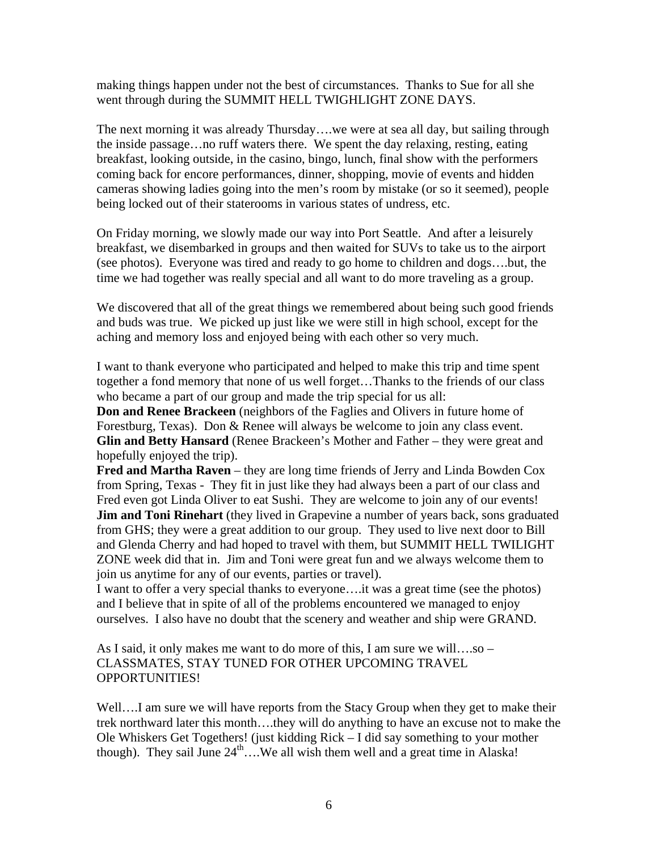making things happen under not the best of circumstances. Thanks to Sue for all she went through during the SUMMIT HELL TWIGHLIGHT ZONE DAYS.

The next morning it was already Thursday….we were at sea all day, but sailing through the inside passage…no ruff waters there. We spent the day relaxing, resting, eating breakfast, looking outside, in the casino, bingo, lunch, final show with the performers coming back for encore performances, dinner, shopping, movie of events and hidden cameras showing ladies going into the men's room by mistake (or so it seemed), people being locked out of their staterooms in various states of undress, etc.

On Friday morning, we slowly made our way into Port Seattle. And after a leisurely breakfast, we disembarked in groups and then waited for SUVs to take us to the airport (see photos). Everyone was tired and ready to go home to children and dogs….but, the time we had together was really special and all want to do more traveling as a group.

We discovered that all of the great things we remembered about being such good friends and buds was true. We picked up just like we were still in high school, except for the aching and memory loss and enjoyed being with each other so very much.

I want to thank everyone who participated and helped to make this trip and time spent together a fond memory that none of us well forget…Thanks to the friends of our class who became a part of our group and made the trip special for us all:

**Don and Renee Brackeen** (neighbors of the Faglies and Olivers in future home of Forestburg, Texas). Don & Renee will always be welcome to join any class event. **Glin and Betty Hansard** (Renee Brackeen's Mother and Father – they were great and hopefully enjoyed the trip).

**Fred and Martha Raven** – they are long time friends of Jerry and Linda Bowden Cox from Spring, Texas - They fit in just like they had always been a part of our class and Fred even got Linda Oliver to eat Sushi. They are welcome to join any of our events! **Jim and Toni Rinehart** (they lived in Grapevine a number of years back, sons graduated from GHS; they were a great addition to our group. They used to live next door to Bill and Glenda Cherry and had hoped to travel with them, but SUMMIT HELL TWILIGHT ZONE week did that in. Jim and Toni were great fun and we always welcome them to join us anytime for any of our events, parties or travel).

I want to offer a very special thanks to everyone….it was a great time (see the photos) and I believe that in spite of all of the problems encountered we managed to enjoy ourselves. I also have no doubt that the scenery and weather and ship were GRAND.

As I said, it only makes me want to do more of this, I am sure we will….so – CLASSMATES, STAY TUNED FOR OTHER UPCOMING TRAVEL OPPORTUNITIES!

Well….I am sure we will have reports from the Stacy Group when they get to make their trek northward later this month….they will do anything to have an excuse not to make the Ole Whiskers Get Togethers! (just kidding Rick – I did say something to your mother though). They sail June  $24^{\text{th}}$ ... We all wish them well and a great time in Alaska!